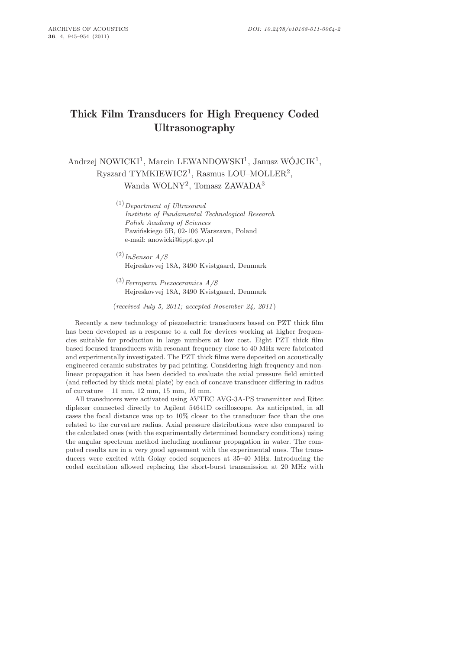# Thick Film Transducers for High Frequency Coded Ultrasonography

Andrzej NOWICKI<sup>1</sup>, Marcin LEWANDOWSKI<sup>1</sup>, Janusz WÓJCIK<sup>1</sup>, Ryszard TYMKIEWICZ<sup>1</sup>, Rasmus LOU–MOLLER<sup>2</sup>, Wanda WOLNY<sup>2</sup>, Tomasz ZAWADA<sup>3</sup>

> (1)*Department of Ultrasound Institute of Fundamental Technological Research Polish Academy of Sciences* Pawińskiego 5B, 02-106 Warszawa, Poland e-mail: anowicki@ippt.gov.pl

- (2)*InSensor A/S* Hejreskovvej 18A, 3490 Kvistgaard, Denmark
- (3)*Ferroperm Piezoceramics A/S* Hejreskovvej 18A, 3490 Kvistgaard, Denmark

(*received July 5, 2011; accepted November 24, 2011* )

Recently a new technology of piezoelectric transducers based on PZT thick film has been developed as a response to a call for devices working at higher frequencies suitable for production in large numbers at low cost. Eight PZT thick film based focused transducers with resonant frequency close to 40 MHz were fabricated and experimentally investigated. The PZT thick films were deposited on acoustically engineered ceramic substrates by pad printing. Considering high frequency and nonlinear propagation it has been decided to evaluate the axial pressure field emitted (and reflected by thick metal plate) by each of concave transducer differing in radius of curvature – 11 mm, 12 mm, 15 mm, 16 mm.

All transducers were activated using AVTEC AVG-3A-PS transmitter and Ritec diplexer connected directly to Agilent 54641D oscilloscope. As anticipated, in all cases the focal distance was up to 10% closer to the transducer face than the one related to the curvature radius. Axial pressure distributions were also compared to the calculated ones (with the experimentally determined boundary conditions) using the angular spectrum method including nonlinear propagation in water. The computed results are in a very good agreement with the experimental ones. The transducers were excited with Golay coded sequences at 35–40 MHz. Introducing the coded excitation allowed replacing the short-burst transmission at 20 MHz with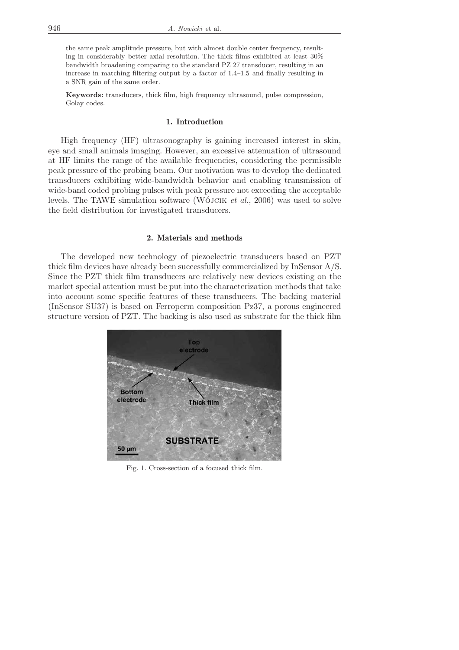the same peak amplitude pressure, but with almost double center frequency, resulting in considerably better axial resolution. The thick films exhibited at least 30% bandwidth broadening comparing to the standard PZ 27 transducer, resulting in an increase in matching filtering output by a factor of 1.4–1.5 and finally resulting in a SNR gain of the same order.

**Keywords:** transducers, thick film, high frequency ultrasound, pulse compression, Golay codes.

## 1. Introduction

High frequency (HF) ultrasonography is gaining increased interest in skin, eye and small animals imaging. However, an excessive attenuation of ultrasound at HF limits the range of the available frequencies, considering the permissible peak pressure of the probing beam. Our motivation was to develop the dedicated transducers exhibiting wide-bandwidth behavior and enabling transmission of wide-band coded probing pulses with peak pressure not exceeding the acceptable levels. The TAWE simulation software (Wójcik *et al.*, 2006) was used to solve the field distribution for investigated transducers.

#### 2. Materials and methods

The developed new technology of piezoelectric transducers based on PZT thick film devices have already been successfully commercialized by InSensor A/S. Since the PZT thick film transducers are relatively new devices existing on the market special attention must be put into the characterization methods that take into account some specific features of these transducers. The backing material (InSensor SU37) is based on Ferroperm composition Pz37, a porous engineered structure version of PZT. The backing is also used as substrate for the thick film



Fig. 1. Cross-section of a focused thick film.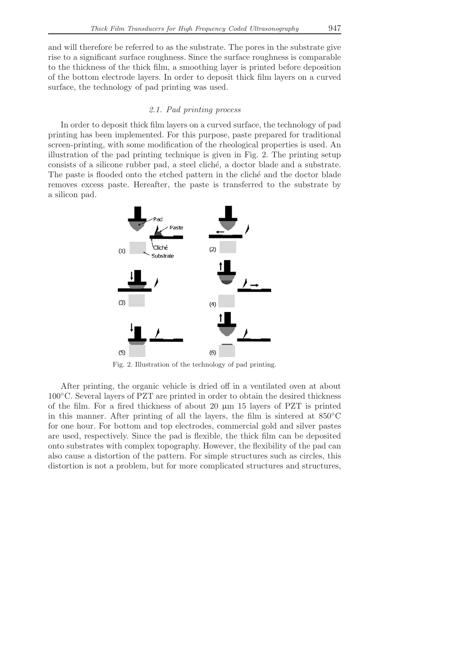and will therefore be referred to as the substrate. The pores in the substrate give rise to a significant surface roughness. Since the surface roughness is comparable to the thickness of the thick film, a smoothing layer is printed before deposition of the bottom electrode layers. In order to deposit thick film layers on a curved surface, the technology of pad printing was used.

## *2.1. Pad printing process*

In order to deposit thick film layers on a curved surface, the technology of pad printing has been implemented. For this purpose, paste prepared for traditional screen-printing, with some modification of the rheological properties is used. An illustration of the pad printing technique is given in Fig. 2. The printing setup consists of a silicone rubber pad, a steel clich´e, a doctor blade and a substrate. The paste is flooded onto the etched pattern in the cliche and the doctor blade removes excess paste. Hereafter, the paste is transferred to the substrate by a silicon pad.



Fig. 2. Illustration of the technology of pad printing.

After printing, the organic vehicle is dried off in a ventilated oven at about 100◦C. Several layers of PZT are printed in order to obtain the desired thickness of the film. For a fired thickness of about 20 µm 15 layers of PZT is printed in this manner. After printing of all the layers, the film is sintered at 850◦C for one hour. For bottom and top electrodes, commercial gold and silver pastes are used, respectively. Since the pad is flexible, the thick film can be deposited onto substrates with complex topography. However, the flexibility of the pad can also cause a distortion of the pattern. For simple structures such as circles, this distortion is not a problem, but for more complicated structures and structures,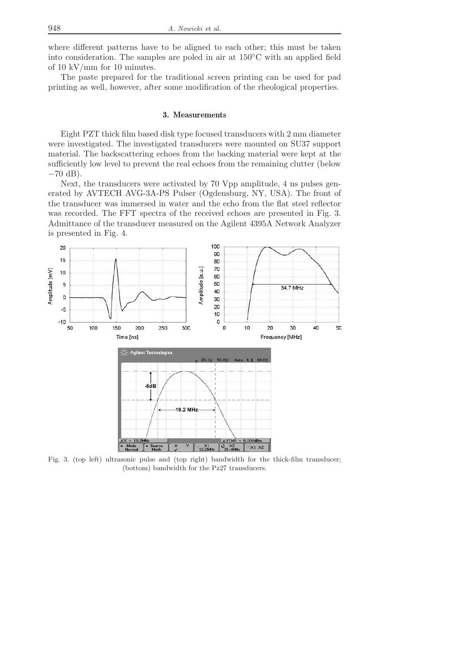where different patterns have to be aligned to each other; this must be taken into consideration. The samples are poled in air at 150◦C with an applied field of 10 kV/mm for 10 minutes.

The paste prepared for the traditional screen printing can be used for pad printing as well, however, after some modification of the rheological properties.

## 3. Measurements

Eight PZT thick film based disk type focused transducers with 2 mm diameter were investigated. The investigated transducers were mounted on SU37 support material. The backscattering echoes from the backing material were kept at the sufficiently low level to prevent the real echoes from the remaining clutter (below  $-70$  dB).

Next, the transducers were activated by 70 Vpp amplitude, 4 ns pulses generated by AVTECH AVG-3A-PS Pulser (Ogdensburg, NY, USA). The front of the transducer was immersed in water and the echo from the flat steel reflector was recorded. The FFT spectra of the received echoes are presented in Fig. 3. Admittance of the transducer measured on the Agilent 4395A Network Analyzer is presented in Fig. 4.



Fig. 3. (top left) ultrasonic pulse and (top right) bandwidth for the thick-film transducer; (bottom) bandwidth for the Pz27 transducers.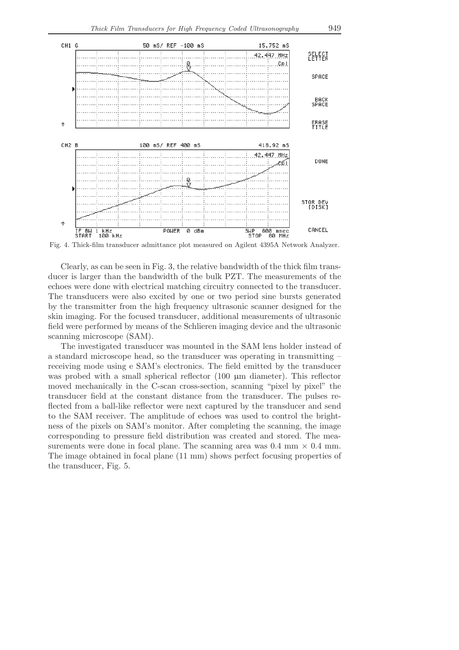

Fig. 4. Thick-film transducer admittance plot measured on Agilent 4395A Network Analyzer.

Clearly, as can be seen in Fig. 3, the relative bandwidth of the thick film transducer is larger than the bandwidth of the bulk PZT. The measurements of the echoes were done with electrical matching circuitry connected to the transducer. The transducers were also excited by one or two period sine bursts generated by the transmitter from the high frequency ultrasonic scanner designed for the skin imaging. For the focused transducer, additional measurements of ultrasonic field were performed by means of the Schlieren imaging device and the ultrasonic scanning microscope (SAM).

The investigated transducer was mounted in the SAM lens holder instead of a standard microscope head, so the transducer was operating in transmitting – receiving mode using e SAM's electronics. The field emitted by the transducer was probed with a small spherical reflector (100  $\mu$ m diameter). This reflector moved mechanically in the C-scan cross-section, scanning "pixel by pixel" the transducer field at the constant distance from the transducer. The pulses reflected from a ball-like reflector were next captured by the transducer and send to the SAM receiver. The amplitude of echoes was used to control the brightness of the pixels on SAM's monitor. After completing the scanning, the image corresponding to pressure field distribution was created and stored. The measurements were done in focal plane. The scanning area was  $0.4 \text{ mm} \times 0.4 \text{ mm}$ . The image obtained in focal plane (11 mm) shows perfect focusing properties of the transducer, Fig. 5.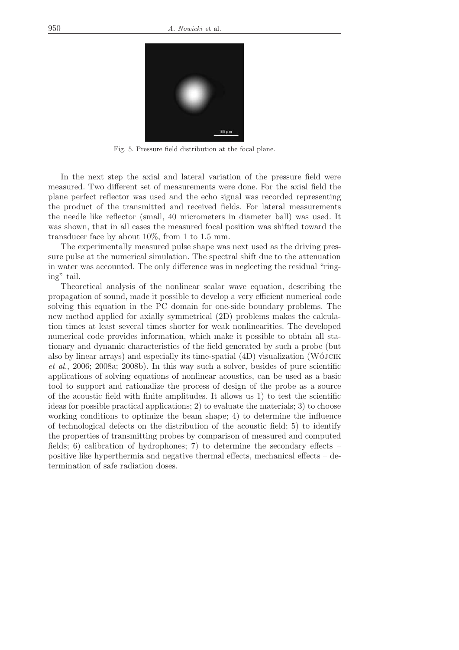

Fig. 5. Pressure field distribution at the focal plane.

In the next step the axial and lateral variation of the pressure field were measured. Two different set of measurements were done. For the axial field the plane perfect reflector was used and the echo signal was recorded representing the product of the transmitted and received fields. For lateral measurements the needle like reflector (small, 40 micrometers in diameter ball) was used. It was shown, that in all cases the measured focal position was shifted toward the transducer face by about 10%, from 1 to 1.5 mm.

The experimentally measured pulse shape was next used as the driving pressure pulse at the numerical simulation. The spectral shift due to the attenuation in water was accounted. The only difference was in neglecting the residual "ringing" tail.

Theoretical analysis of the nonlinear scalar wave equation, describing the propagation of sound, made it possible to develop a very efficient numerical code solving this equation in the PC domain for one-side boundary problems. The new method applied for axially symmetrical (2D) problems makes the calculation times at least several times shorter for weak nonlinearities. The developed numerical code provides information, which make it possible to obtain all stationary and dynamic characteristics of the field generated by such a probe (but also by linear arrays) and especially its time-spatial (4D) visualization (Wójcik *et al.*, 2006; 2008a; 2008b). In this way such a solver, besides of pure scientific applications of solving equations of nonlinear acoustics, can be used as a basic tool to support and rationalize the process of design of the probe as a source of the acoustic field with finite amplitudes. It allows us 1) to test the scientific ideas for possible practical applications; 2) to evaluate the materials; 3) to choose working conditions to optimize the beam shape; 4) to determine the influence of technological defects on the distribution of the acoustic field; 5) to identify the properties of transmitting probes by comparison of measured and computed fields; 6) calibration of hydrophones; 7) to determine the secondary effects – positive like hyperthermia and negative thermal effects, mechanical effects – determination of safe radiation doses.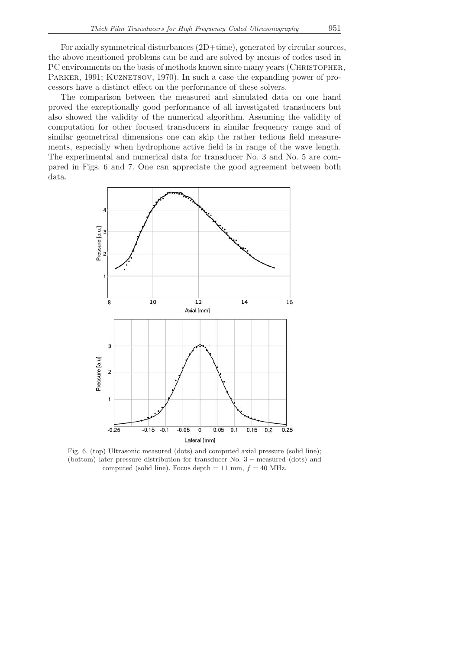For axially symmetrical disturbances (2D+time), generated by circular sources, the above mentioned problems can be and are solved by means of codes used in PC environments on the basis of methods known since many years (CHRISTOPHER, PARKER, 1991; KUZNETSOV, 1970). In such a case the expanding power of processors have a distinct effect on the performance of these solvers.

The comparison between the measured and simulated data on one hand proved the exceptionally good performance of all investigated transducers but also showed the validity of the numerical algorithm. Assuming the validity of computation for other focused transducers in similar frequency range and of similar geometrical dimensions one can skip the rather tedious field measurements, especially when hydrophone active field is in range of the wave length. The experimental and numerical data for transducer No. 3 and No. 5 are compared in Figs. 6 and 7. One can appreciate the good agreement between both data.



Fig. 6. (top) Ultrasonic measured (dots) and computed axial pressure (solid line); (bottom) later pressure distribution for transducer No. 3 – measured (dots) and computed (solid line). Focus depth  $= 11$  mm,  $f = 40$  MHz.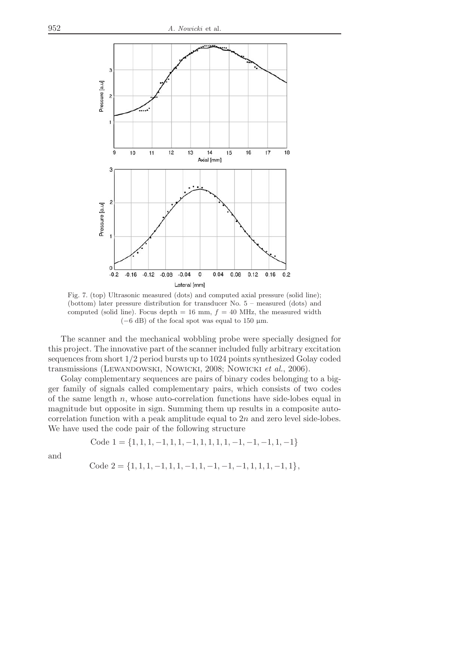

Fig. 7. (top) Ultrasonic measured (dots) and computed axial pressure (solid line); (bottom) later pressure distribution for transducer No. 5 – measured (dots) and computed (solid line). Focus depth = 16 mm,  $f = 40$  MHz, the measured width  $(-6$  dB) of the focal spot was equal to 150 µm.

The scanner and the mechanical wobbling probe were specially designed for this project. The innovative part of the scanner included fully arbitrary excitation sequences from short 1/2 period bursts up to 1024 points synthesized Golay coded transmissions (Lewandowski, Nowicki, 2008; Nowicki *et al.*, 2006).

Golay complementary sequences are pairs of binary codes belonging to a bigger family of signals called complementary pairs, which consists of two codes of the same length  $n$ , whose auto-correlation functions have side-lobes equal in magnitude but opposite in sign. Summing them up results in a composite autocorrelation function with a peak amplitude equal to 2n and zero level side-lobes. We have used the code pair of the following structure

Code 
$$
1 = \{1, 1, 1, -1, 1, 1, -1, 1, 1, 1, 1, -1, -1, -1, 1, -1\}
$$

and

Code 
$$
2 = \{1, 1, 1, -1, 1, 1, -1, 1, -1, -1, -1, 1, 1, 1, -1, 1\}
$$
,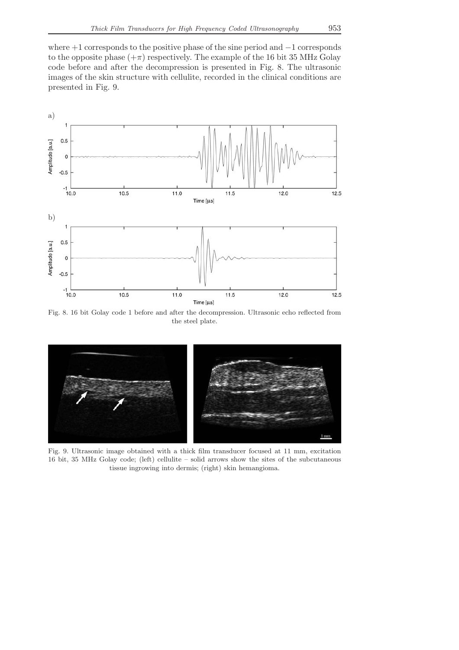where +1 corresponds to the positive phase of the sine period and −1 corresponds to the opposite phase  $(+\pi)$  respectively. The example of the 16 bit 35 MHz Golay code before and after the decompression is presented in Fig. 8. The ultrasonic images of the skin structure with cellulite, recorded in the clinical conditions are presented in Fig. 9.



Fig. 8. 16 bit Golay code 1 before and after the decompression. Ultrasonic echo reflected from the steel plate.



Fig. 9. Ultrasonic image obtained with a thick film transducer focused at 11 mm, excitation 16 bit, 35 MHz Golay code; (left) cellulite – solid arrows show the sites of the subcutaneous tissue ingrowing into dermis; (right) skin hemangioma.